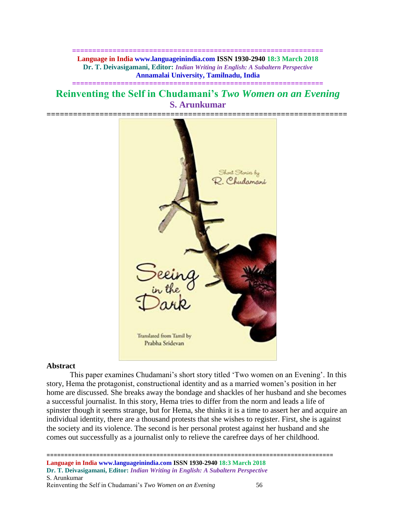**============================================================== Language in India www.languageinindia.com ISSN 1930-2940 18:3 March 2018 Dr. T. Deivasigamani, Editor:** *Indian Writing in English: A Subaltern Perspective* **Annamalai University, Tamilnadu, India**

# **Reinventing the Self in Chudamani's** *Two Women on an Evening* **S. Arunkumar**

**==============================================================**



### **Abstract**

This paper examines Chudamani's short story titled 'Two women on an Evening'. In this story, Hema the protagonist, constructional identity and as a married women's position in her home are discussed. She breaks away the bondage and shackles of her husband and she becomes a successful journalist. In this story, Hema tries to differ from the norm and leads a life of spinster though it seems strange, but for Hema, she thinks it is a time to assert her and acquire an individual identity, there are a thousand protests that she wishes to register. First, she is against the society and its violence. The second is her personal protest against her husband and she comes out successfully as a journalist only to relieve the carefree days of her childhood.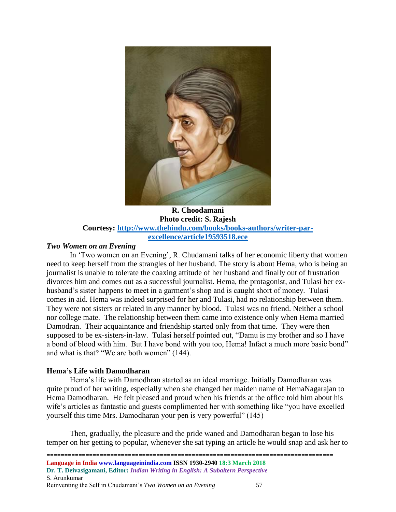

**R. Choodamani Photo credit: S. Rajesh Courtesy: [http://www.thehindu.com/books/books-authors/writer-par](http://www.thehindu.com/books/books-authors/writer-par-excellence/article19593518.ece)[excellence/article19593518.ece](http://www.thehindu.com/books/books-authors/writer-par-excellence/article19593518.ece)**

### *Two Women on an Evening*

In 'Two women on an Evening', R. Chudamani talks of her economic liberty that women need to keep herself from the strangles of her husband. The story is about Hema, who is being an journalist is unable to tolerate the coaxing attitude of her husband and finally out of frustration divorces him and comes out as a successful journalist. Hema, the protagonist, and Tulasi her exhusband's sister happens to meet in a garment's shop and is caught short of money. Tulasi comes in aid. Hema was indeed surprised for her and Tulasi, had no relationship between them. They were not sisters or related in any manner by blood. Tulasi was no friend. Neither a school nor college mate. The relationship between them came into existence only when Hema married Damodran. Their acquaintance and friendship started only from that time. They were then supposed to be ex-sisters-in-law. Tulasi herself pointed out, "Damu is my brother and so I have a bond of blood with him. But I have bond with you too, Hema! Infact a much more basic bond" and what is that? "We are both women" (144).

# **Hema's Life with Damodharan**

Hema's life with Damodhran started as an ideal marriage. Initially Damodharan was quite proud of her writing, especially when she changed her maiden name of HemaNagarajan to Hema Damodharan. He felt pleased and proud when his friends at the office told him about his wife's articles as fantastic and guests complimented her with something like "you have excelled yourself this time Mrs. Damodharan your pen is very powerful" (145)

Then, gradually, the pleasure and the pride waned and Damodharan began to lose his temper on her getting to popular, whenever she sat typing an article he would snap and ask her to